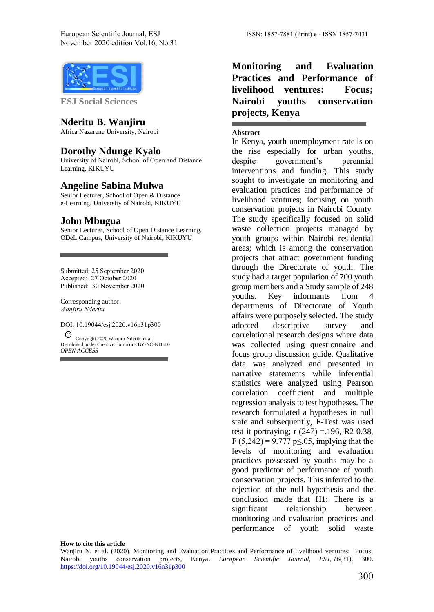

**ESJ Social Sciences** 

### **Nderitu B. Wanjiru**

Africa Nazarene University, Nairobi

### **Dorothy Ndunge Kyalo**

University of Nairobi, School of Open and Distance Learning, KIKUYU

### **Angeline Sabina Mulwa**

Senior Lecturer, School of Open & Distance e-Learning, University of Nairobi, KIKUYU

#### **John Mbugua**

Senior Lecturer, School of Open Distance Learning, ODeL Campus, University of Nairobi, KIKUYU

Submitted: 25 September 2020 Accepted: 27 October 2020 Published: 30 November 2020

Corresponding author: *Wanjiru Nderitu*

DOI: 10.19044/esj.2020.v16n31p300 Copyright 2020 Wanjiru Nderitu et al.

Distributed under Creative Commons BY-NC-ND 4.0 *OPEN ACCESS*

## **Monitoring and Evaluation Practices and Performance of livelihood ventures: Focus; Nairobi youths conservation projects, Kenya**

#### **Abstract**

In Kenya, youth unemployment rate is on the rise especially for urban youths, despite government's perennial interventions and funding. This study sought to investigate on monitoring and evaluation practices and performance of livelihood ventures; focusing on youth conservation projects in Nairobi County. The study specifically focused on solid waste collection projects managed by youth groups within Nairobi residential areas; which is among the conservation projects that attract government funding through the Directorate of youth. The study had a target population of 700 youth group members and a Study sample of 248 youths. Key informants from 4 departments of Directorate of Youth affairs were purposely selected. The study adopted descriptive survey and correlational research designs where data was collected using questionnaire and focus group discussion guide. Qualitative data was analyzed and presented in narrative statements while inferential statistics were analyzed using Pearson correlation coefficient and multiple regression analysis to test hypotheses. The research formulated a hypotheses in null state and subsequently, F-Test was used test it portraying;  $r(247) = .196$ , R2 0.38, F (5,242) = 9.777 p $\leq$  05, implying that the levels of monitoring and evaluation practices possessed by youths may be a good predictor of performance of youth conservation projects. This inferred to the rejection of the null hypothesis and the conclusion made that H1: There is a significant relationship between monitoring and evaluation practices and performance of youth solid waste

#### **How to cite this article**

Wanjiru N. et al. (2020). Monitoring and Evaluation Practices and Performance of livelihood ventures: Focus; Nairobi youths conservation projects, Kenya. *European Scientific Journal, ESJ*, *16*(31), 300. <https://doi.org/10.19044/esj.2020.v16n31p300>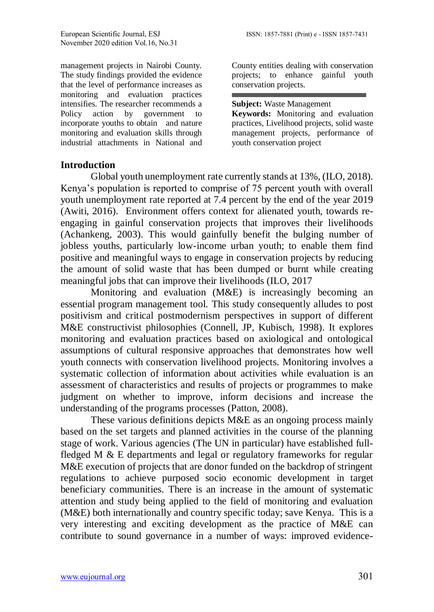management projects in Nairobi County. The study findings provided the evidence that the level of performance increases as monitoring and evaluation practices intensifies. The researcher recommends a Policy action by government to incorporate youths to obtain and nature monitoring and evaluation skills through industrial attachments in National and

County entities dealing with conservation projects; to enhance gainful youth conservation projects.

**Subject:** Waste Management

**Keywords:** Monitoring and evaluation practices, Livelihood projects, solid waste management projects, performance of youth conservation project

## **Introduction**

Global youth unemployment rate currently stands at 13%, (ILO, 2018). Kenya's population is reported to comprise of 75 percent youth with overall youth unemployment rate reported at 7.4 percent by the end of the year 2019 (Awiti, 2016). Environment offers context for alienated youth, towards reengaging in gainful conservation projects that improves their livelihoods (Achankeng, 2003). This would gainfully benefit the bulging number of jobless youths, particularly low-income urban youth; to enable them find positive and meaningful ways to engage in conservation projects by reducing the amount of solid waste that has been dumped or burnt while creating meaningful jobs that can improve their livelihoods (ILO, 2017

Monitoring and evaluation (M&E) is increasingly becoming an essential program management tool. This study consequently alludes to post positivism and critical postmodernism perspectives in support of different M&E constructivist philosophies (Connell, JP, Kubisch, 1998). It explores monitoring and evaluation practices based on axiological and ontological assumptions of cultural responsive approaches that demonstrates how well youth connects with conservation livelihood projects. Monitoring involves a systematic collection of information about activities while evaluation is an assessment of characteristics and results of projects or programmes to make judgment on whether to improve, inform decisions and increase the understanding of the programs processes (Patton, 2008).

These various definitions depicts M&E as an ongoing process mainly based on the set targets and planned activities in the course of the planning stage of work. Various agencies (The UN in particular) have established fullfledged M & E departments and legal or regulatory frameworks for regular M&E execution of projects that are donor funded on the backdrop of stringent regulations to achieve purposed socio economic development in target beneficiary communities. There is an increase in the amount of systematic attention and study being applied to the field of monitoring and evaluation (M&E) both internationally and country specific today; save Kenya. This is a very interesting and exciting development as the practice of M&E can contribute to sound governance in a number of ways: improved evidence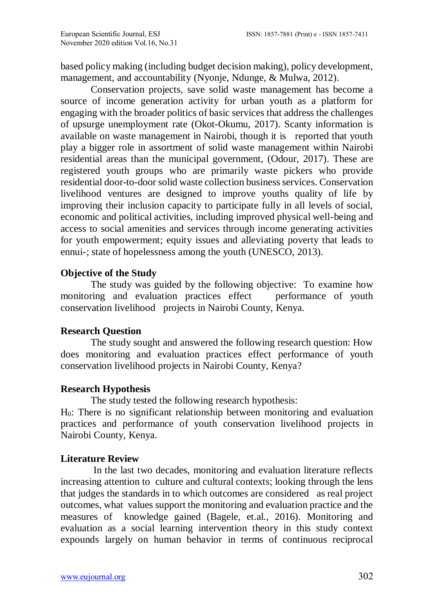based policy making (including budget decision making), policy development, management, and accountability (Nyonje, Ndunge, & Mulwa, 2012).

Conservation projects, save solid waste management has become a source of income generation activity for urban youth as a platform for engaging with the broader politics of basic services that address the challenges of upsurge unemployment rate (Okot-Okumu, 2017). Scanty information is available on waste management in Nairobi, though it is reported that youth play a bigger role in assortment of solid waste management within Nairobi residential areas than the municipal government, (Odour, 2017). These are registered youth groups who are primarily waste pickers who provide residential door-to-door solid waste collection business services. Conservation livelihood ventures are designed to improve youths quality of life by improving their inclusion capacity to participate fully in all levels of social, economic and political activities, including improved physical well-being and access to social amenities and services through income generating activities for youth empowerment; equity issues and alleviating poverty that leads to ennui-; state of hopelessness among the youth (UNESCO, 2013).

## **Objective of the Study**

The study was guided by the following objective: To examine how monitoring and evaluation practices effect performance of youth conservation livelihood projects in Nairobi County, Kenya.

# **Research Question**

The study sought and answered the following research question: How does monitoring and evaluation practices effect performance of youth conservation livelihood projects in Nairobi County, Kenya?

# **Research Hypothesis**

The study tested the following research hypothesis: H0: There is no significant relationship between monitoring and evaluation practices and performance of youth conservation livelihood projects in Nairobi County, Kenya.

# **Literature Review**

In the last two decades, monitoring and evaluation literature reflects increasing attention to culture and cultural contexts; looking through the lens that judges the standards in to which outcomes are considered as real project outcomes, what values support the monitoring and evaluation practice and the measures of knowledge gained (Bagele, et.al., 2016). Monitoring and evaluation as a social learning intervention theory in this study context expounds largely on human behavior in terms of continuous reciprocal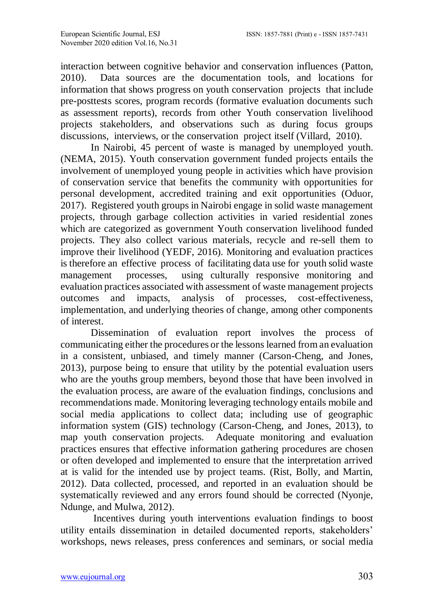interaction between cognitive behavior and conservation influences (Patton, 2010). Data sources are the documentation tools, and locations for information that shows progress on youth conservation projects that include pre-posttests scores, program records (formative evaluation documents such as assessment reports), records from other Youth conservation livelihood projects stakeholders, and observations such as during focus groups discussions, interviews, or the conservation project itself (Villard, 2010).

In Nairobi, 45 percent of waste is managed by unemployed youth. (NEMA, 2015). Youth conservation government funded projects entails the involvement of unemployed young people in activities which have provision of conservation service that benefits the community with opportunities for personal development, accredited training and exit opportunities (Oduor, 2017). Registered youth groups in Nairobi engage in solid waste management projects, through garbage collection activities in varied residential zones which are categorized as government Youth conservation livelihood funded projects. They also collect various materials, recycle and re-sell them to improve their livelihood (YEDF, 2016). Monitoring and evaluation practices is therefore an effective process of facilitating data use for youth solid waste management processes, using culturally responsive monitoring and evaluation practices associated with assessment of waste management projects outcomes and impacts, analysis of processes, cost-effectiveness, implementation, and underlying theories of change, among other components of interest.

Dissemination of evaluation report involves the process of communicating either the procedures or the lessons learned from an evaluation in a consistent, unbiased, and timely manner (Carson-Cheng, and Jones, 2013), purpose being to ensure that utility by the potential evaluation users who are the youths group members, beyond those that have been involved in the evaluation process, are aware of the evaluation findings, conclusions and recommendations made. Monitoring leveraging technology entails mobile and social media applications to collect data; including use of geographic information system (GIS) technology (Carson-Cheng, and Jones, 2013), to map youth conservation projects. Adequate monitoring and evaluation practices ensures that effective information gathering procedures are chosen or often developed and implemented to ensure that the interpretation arrived at is valid for the intended use by project teams. (Rist, Bolly, and Martin, 2012). Data collected, processed, and reported in an evaluation should be systematically reviewed and any errors found should be corrected (Nyonje, Ndunge, and Mulwa, 2012).

Incentives during youth interventions evaluation findings to boost utility entails dissemination in detailed documented reports, stakeholders' workshops, news releases, press conferences and seminars, or social media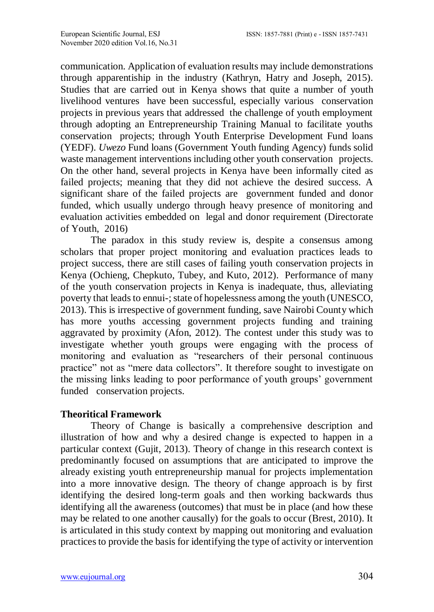communication. Application of evaluation results may include demonstrations through apparentiship in the industry (Kathryn, Hatry and Joseph, 2015). Studies that are carried out in Kenya shows that quite a number of youth livelihood ventures have been successful, especially various conservation projects in previous years that addressed the challenge of youth employment through adopting an Entrepreneurship Training Manual to facilitate youths conservation projects; through Youth Enterprise Development Fund loans (YEDF). *Uwezo* Fund loans (Government Youth funding Agency) funds solid waste management interventions including other youth conservation projects. On the other hand, several projects in Kenya have been informally cited as failed projects; meaning that they did not achieve the desired success. A significant share of the failed projects are government funded and donor funded, which usually undergo through heavy presence of monitoring and evaluation activities embedded on legal and donor requirement (Directorate of Youth, 2016)

The paradox in this study review is, despite a consensus among scholars that proper project monitoring and evaluation practices leads to project success, there are still cases of failing youth conservation projects in Kenya (Ochieng, Chepkuto, Tubey, and Kuto, 2012). Performance of many of the youth conservation projects in Kenya is inadequate, thus, alleviating poverty that leads to ennui-; state of hopelessness among the youth (UNESCO, 2013). This is irrespective of government funding, save Nairobi County which has more youths accessing government projects funding and training aggravated by proximity (Afon, 2012). The contest under this study was to investigate whether youth groups were engaging with the process of monitoring and evaluation as "researchers of their personal continuous practice" not as "mere data collectors". It therefore sought to investigate on the missing links leading to poor performance of youth groups' government funded conservation projects.

## **Theoritical Framework**

Theory of Change is basically a comprehensive description and illustration of how and why a desired change is expected to happen in a particular context (Gujit, 2013). Theory of change in this research context is predominantly focused on assumptions that are anticipated to improve the already existing youth entrepreneurship manual for projects implementation into a more innovative design. The theory of change approach is by first identifying the desired long-term goals and then working backwards thus identifying all the awareness (outcomes) that must be in place (and how these may be related to one another causally) for the goals to occur (Brest, 2010). It is articulated in this study context by mapping out monitoring and evaluation practices to provide the basis for identifying the type of activity or intervention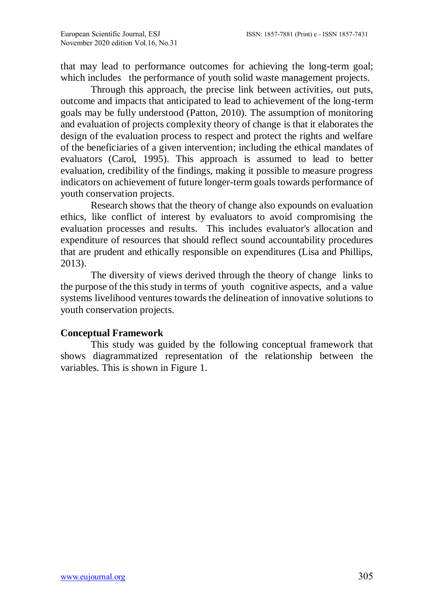that may lead to performance outcomes for achieving the long-term goal; which includes the performance of youth solid waste management projects.

Through this approach, the precise link between activities, out puts, outcome and impacts that anticipated to lead to achievement of the long-term goals may be fully understood (Patton, 2010). The assumption of monitoring and evaluation of projects complexity theory of change is that it elaborates the design of the evaluation process to respect and protect the rights and welfare of the beneficiaries of a given intervention; including the ethical mandates of evaluators (Carol, 1995). This approach is assumed to lead to better evaluation, credibility of the findings, making it possible to measure progress indicators on achievement of future longer-term goals towards performance of youth conservation projects.

Research shows that the theory of change also expounds on evaluation ethics, like conflict of interest by evaluators to avoid compromising the evaluation processes and results. This includes evaluator's allocation and expenditure of resources that should reflect sound accountability procedures that are prudent and ethically responsible on expenditures (Lisa and Phillips, 2013).

The diversity of views derived through the theory of change links to the purpose of the this study in terms of youth cognitive aspects, and a value systems livelihood ventures towards the delineation of innovative solutions to youth conservation projects.

## **Conceptual Framework**

This study was guided by the following conceptual framework that shows diagrammatized representation of the relationship between the variables. This is shown in Figure 1.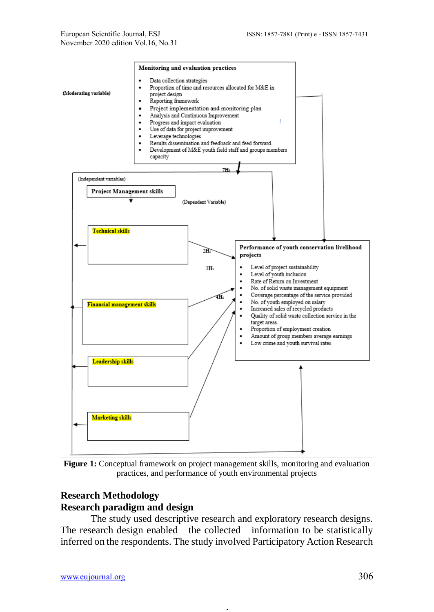

**Figure 1:** Conceptual framework on project management skills, monitoring and evaluation practices, and performance of youth environmental projects

# **Research Methodology Research paradigm and design**

The study used descriptive research and exploratory research designs. The research design enabled the collected information to be statistically inferred on the respondents. The study involved Participatory Action Research

**.**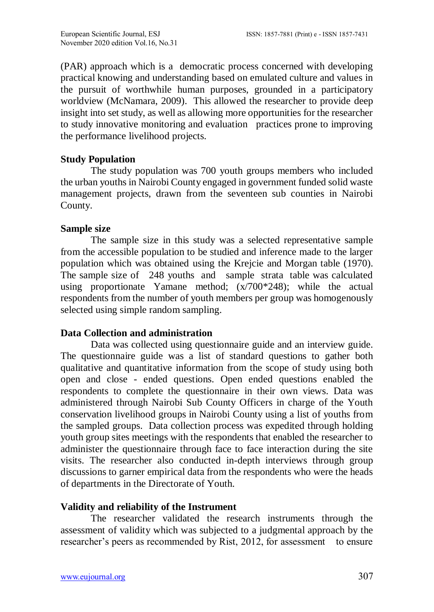(PAR) approach which is a democratic process concerned with developing practical knowing and understanding based on emulated culture and values in the pursuit of worthwhile human purposes, grounded in a participatory worldview (McNamara, 2009). This allowed the researcher to provide deep insight into set study, as well as allowing more opportunities for the researcher to study innovative monitoring and evaluation practices prone to improving the performance livelihood projects.

# **Study Population**

The study population was 700 youth groups members who included the urban youths in Nairobi County engaged in government funded solid waste management projects, drawn from the seventeen sub counties in Nairobi County.

## **Sample size**

The sample size in this study was a selected representative sample from the accessible population to be studied and inference made to the larger population which was obtained using the Krejcie and Morgan table (1970). The sample size of 248 youths and sample strata table was calculated using proportionate Yamane method; (x/700\*248); while the actual respondents from the number of youth members per group was homogenously selected using simple random sampling.

## **Data Collection and administration**

Data was collected using questionnaire guide and an interview guide. The questionnaire guide was a list of standard questions to gather both qualitative and quantitative information from the scope of study using both open and close - ended questions. Open ended questions enabled the respondents to complete the questionnaire in their own views. Data was administered through Nairobi Sub County Officers in charge of the Youth conservation livelihood groups in Nairobi County using a list of youths from the sampled groups. Data collection process was expedited through holding youth group sites meetings with the respondents that enabled the researcher to administer the questionnaire through face to face interaction during the site visits. The researcher also conducted in-depth interviews through group discussions to garner empirical data from the respondents who were the heads of departments in the Directorate of Youth.

# **Validity and reliability of the Instrument**

The researcher validated the research instruments through the assessment of validity which was subjected to a judgmental approach by the researcher's peers as recommended by Rist, 2012, for assessment to ensure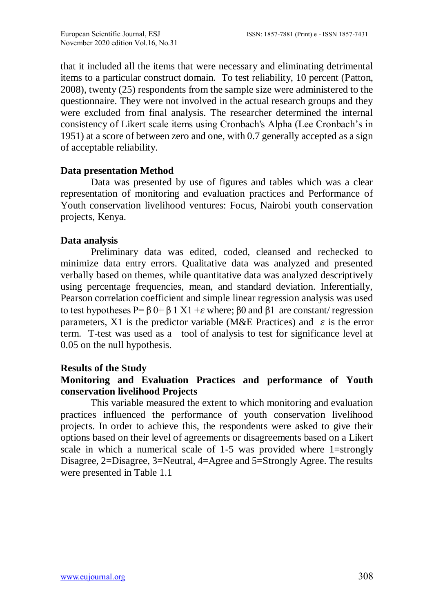that it included all the items that were necessary and eliminating detrimental items to a particular construct domain. To test reliability, 10 percent (Patton, 2008), twenty (25) respondents from the sample size were administered to the questionnaire. They were not involved in the actual research groups and they were excluded from final analysis. The researcher determined the internal consistency of Likert scale items using Cronbach's Alpha (Lee Cronbach's in 1951) at a score of between zero and one, with 0.7 generally accepted as a sign of acceptable reliability.

### **Data presentation Method**

Data was presented by use of figures and tables which was a clear representation of monitoring and evaluation practices and Performance of Youth conservation livelihood ventures: Focus, Nairobi youth conservation projects, Kenya.

## **Data analysis**

Preliminary data was edited, coded, cleansed and rechecked to minimize data entry errors. Qualitative data was analyzed and presented verbally based on themes, while quantitative data was analyzed descriptively using percentage frequencies, mean, and standard deviation. Inferentially, Pearson correlation coefficient and simple linear regression analysis was used to test hypotheses  $P = \beta 0 + \beta 1 X1 + \epsilon$  where;  $\beta 0$  and  $\beta 1$  are constant/ regression parameters, X1 is the predictor variable (M&E Practices) and  $\varepsilon$  is the error term. T-test was used as a tool of analysis to test for significance level at 0.05 on the null hypothesis.

## **Results of the Study**

## **Monitoring and Evaluation Practices and performance of Youth conservation livelihood Projects**

This variable measured the extent to which monitoring and evaluation practices influenced the performance of youth conservation livelihood projects. In order to achieve this, the respondents were asked to give their options based on their level of agreements or disagreements based on a Likert scale in which a numerical scale of 1-5 was provided where 1=strongly Disagree, 2=Disagree, 3=Neutral, 4=Agree and 5=Strongly Agree. The results were presented in Table 1.1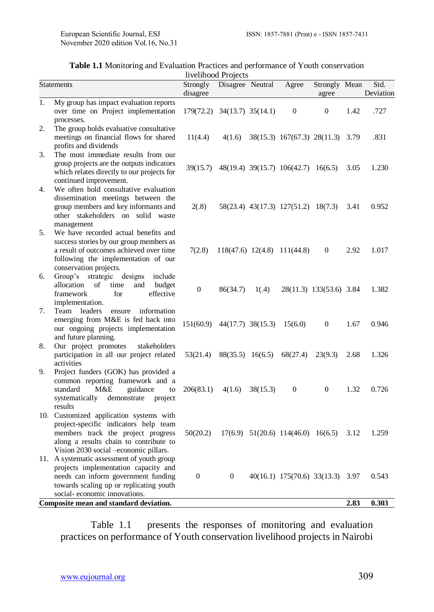| <b>Table 1.1</b> Monitoring and Evaluation Practices and performance of Youth conservation |  |  |  |  |  |  |  |
|--------------------------------------------------------------------------------------------|--|--|--|--|--|--|--|
| Luckhood Decisate                                                                          |  |  |  |  |  |  |  |

|                  |                                                                                                                                                                                                           |                      | livelihood Projects         |          |                                            |                         |      |                   |
|------------------|-----------------------------------------------------------------------------------------------------------------------------------------------------------------------------------------------------------|----------------------|-----------------------------|----------|--------------------------------------------|-------------------------|------|-------------------|
|                  | <b>Statements</b>                                                                                                                                                                                         | Strongly<br>disagree | Disagree Neutral            |          | Agree                                      | Strongly Mean<br>agree  |      | Std.<br>Deviation |
| 1.               | My group has impact evaluation reports<br>over time on Project implementation<br>processes.                                                                                                               |                      | 179(72.2) 34(13.7) 35(14.1) |          | $\overline{0}$                             | $\theta$                | 1.42 | .727              |
| 2.               | The group holds evaluative consultative<br>meetings on financial flows for shared<br>profits and dividends                                                                                                | 11(4.4)              | 4(1.6)                      |          | 38(15.3) 167(67.3) 28(11.3)                |                         | 3.79 | .831              |
| 3.               | The most immediate results from our<br>group projects are the outputs indicators<br>which relates directly to our projects for<br>continued improvement.                                                  | 39(15.7)             |                             |          | 48(19.4) 39(15.7) 106(42.7) 16(6.5)        |                         | 3.05 | 1.230             |
| $\overline{4}$ . | We often hold consultative evaluation<br>dissemination meetings between the<br>group members and key informants and<br>other stakeholders on solid waste<br>management                                    | 2(.8)                |                             |          | 58(23.4) 43(17.3) 127(51.2) 18(7.3)        |                         | 3.41 | 0.952             |
| 5.               | We have recorded actual benefits and<br>success stories by our group members as<br>a result of outcomes achieved over time<br>following the implementation of our<br>conservation projects.               | 7(2.8)               |                             |          | $118(47.6)$ $12(4.8)$ $111(44.8)$          | $\theta$                | 2.92 | 1.017             |
| 6.               | Group's strategic<br>designs<br>include<br>allocation<br>of<br>time<br>and<br>budget<br>framework<br>for<br>effective<br>implementation.                                                                  | $\mathbf{0}$         | 86(34.7)                    | 1(.4)    |                                            | 28(11.3) 133(53.6) 3.84 |      | 1.382             |
| 7.               | Team leaders<br>ensure<br>information<br>emerging from M&E is fed back into<br>our ongoing projects implementation<br>and future planning.                                                                | 151(60.9)            | 44(17.7) 38(15.3)           |          | 15(6.0)                                    | $\theta$                | 1.67 | 0.946             |
| 8.               | Our project promotes<br>stakeholders<br>participation in all our project related<br>activities                                                                                                            | 53(21.4)             | $88(35.5)$ 16(6.5)          |          | 68(27.4)                                   | 23(9.3)                 | 2.68 | 1.326             |
| 9.               | Project funders (GOK) has provided a<br>common reporting framework and a<br>M&E<br>standard<br>guidance<br>to<br>systematically<br>demonstrate<br>project<br>results                                      | 206(83.1)            | 4(1.6)                      | 38(15.3) | $\Omega$                                   | $\Omega$                | 1.32 | 0.726             |
|                  | 10. Customized application systems with<br>project-specific indicators help team<br>members track the project progress<br>along a results chain to contribute to<br>Vision 2030 social -economic pillars. | 50(20.2)             |                             |          | $17(6.9)$ $51(20.6)$ $114(46.0)$ $16(6.5)$ |                         | 3.12 | 1.259             |
|                  | 11. A systematic assessment of youth group<br>projects implementation capacity and<br>needs can inform government funding<br>towards scaling up or replicating youth<br>social-economic innovations.      | $\boldsymbol{0}$     | $\boldsymbol{0}$            |          | 40(16.1) 175(70.6) 33(13.3) 3.97           |                         |      | 0.543             |
|                  | Composite mean and standard deviation.                                                                                                                                                                    |                      |                             |          |                                            |                         | 2.83 | 0.303             |

Table 1.1 presents the responses of monitoring and evaluation practices on performance of Youth conservation livelihood projects in Nairobi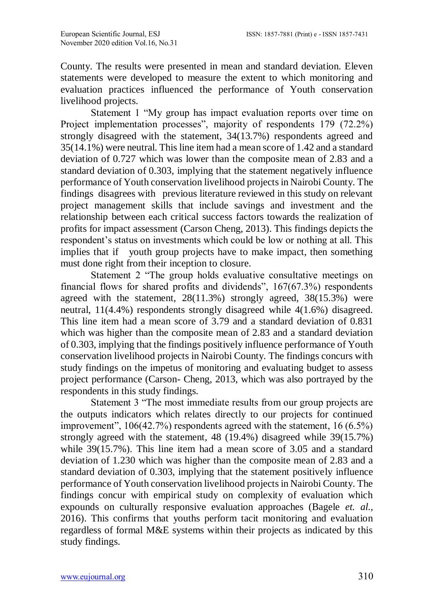County. The results were presented in mean and standard deviation. Eleven statements were developed to measure the extent to which monitoring and evaluation practices influenced the performance of Youth conservation livelihood projects.

Statement 1 "My group has impact evaluation reports over time on Project implementation processes", majority of respondents 179 (72.2%) strongly disagreed with the statement, 34(13.7%) respondents agreed and 35(14.1%) were neutral. This line item had a mean score of 1.42 and a standard deviation of 0.727 which was lower than the composite mean of 2.83 and a standard deviation of 0.303, implying that the statement negatively influence performance of Youth conservation livelihood projects in Nairobi County. The findings disagrees with previous literature reviewed in this study on relevant project management skills that include savings and investment and the relationship between each critical success factors towards the realization of profits for impact assessment (Carson Cheng, 2013). This findings depicts the respondent's status on investments which could be low or nothing at all. This implies that if youth group projects have to make impact, then something must done right from their inception to closure.

Statement 2 "The group holds evaluative consultative meetings on financial flows for shared profits and dividends", 167(67.3%) respondents agreed with the statement, 28(11.3%) strongly agreed, 38(15.3%) were neutral, 11(4.4%) respondents strongly disagreed while 4(1.6%) disagreed. This line item had a mean score of 3.79 and a standard deviation of 0.831 which was higher than the composite mean of 2.83 and a standard deviation of 0.303, implying that the findings positively influence performance of Youth conservation livelihood projects in Nairobi County. The findings concurs with study findings on the impetus of monitoring and evaluating budget to assess project performance (Carson- Cheng, 2013, which was also portrayed by the respondents in this study findings.

Statement 3 "The most immediate results from our group projects are the outputs indicators which relates directly to our projects for continued improvement", 106(42.7%) respondents agreed with the statement, 16 (6.5%) strongly agreed with the statement, 48 (19.4%) disagreed while 39(15.7%) while 39(15.7%). This line item had a mean score of 3.05 and a standard deviation of 1.230 which was higher than the composite mean of 2.83 and a standard deviation of 0.303, implying that the statement positively influence performance of Youth conservation livelihood projects in Nairobi County. The findings concur with empirical study on complexity of evaluation which expounds on culturally responsive evaluation approaches (Bagele *et. al.,* 2016). This confirms that youths perform tacit monitoring and evaluation regardless of formal M&E systems within their projects as indicated by this study findings.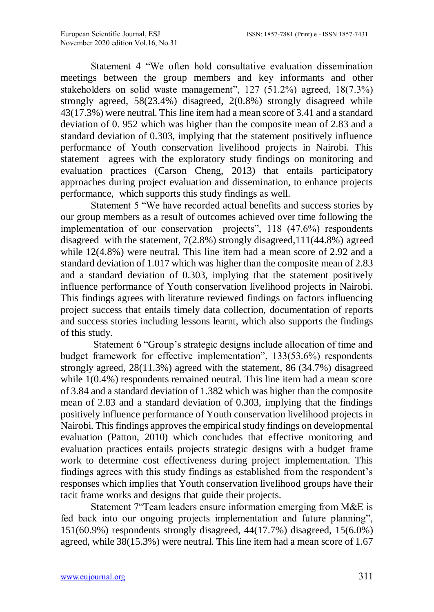Statement 4 "We often hold consultative evaluation dissemination meetings between the group members and key informants and other stakeholders on solid waste management", 127 (51.2%) agreed, 18(7.3%) strongly agreed, 58(23.4%) disagreed, 2(0.8%) strongly disagreed while 43(17.3%) were neutral. This line item had a mean score of 3.41 and a standard deviation of 0. 952 which was higher than the composite mean of 2.83 and a standard deviation of 0.303, implying that the statement positively influence performance of Youth conservation livelihood projects in Nairobi. This statement agrees with the exploratory study findings on monitoring and evaluation practices (Carson Cheng, 2013) that entails participatory approaches during project evaluation and dissemination, to enhance projects performance, which supports this study findings as well.

Statement 5 "We have recorded actual benefits and success stories by our group members as a result of outcomes achieved over time following the implementation of our conservation projects", 118 (47.6%) respondents disagreed with the statement, 7(2.8%) strongly disagreed,111(44.8%) agreed while 12(4.8%) were neutral. This line item had a mean score of 2.92 and a standard deviation of 1.017 which was higher than the composite mean of 2.83 and a standard deviation of 0.303, implying that the statement positively influence performance of Youth conservation livelihood projects in Nairobi. This findings agrees with literature reviewed findings on factors influencing project success that entails timely data collection, documentation of reports and success stories including lessons learnt, which also supports the findings of this study.

Statement 6 "Group's strategic designs include allocation of time and budget framework for effective implementation", 133(53.6%) respondents strongly agreed, 28(11.3%) agreed with the statement, 86 (34.7%) disagreed while  $1(0.4\%)$  respondents remained neutral. This line item had a mean score of 3.84 and a standard deviation of 1.382 which was higher than the composite mean of 2.83 and a standard deviation of 0.303, implying that the findings positively influence performance of Youth conservation livelihood projects in Nairobi. This findings approves the empirical study findings on developmental evaluation (Patton, 2010) which concludes that effective monitoring and evaluation practices entails projects strategic designs with a budget frame work to determine cost effectiveness during project implementation. This findings agrees with this study findings as established from the respondent's responses which implies that Youth conservation livelihood groups have their tacit frame works and designs that guide their projects.

Statement 7"Team leaders ensure information emerging from M&E is fed back into our ongoing projects implementation and future planning", 151(60.9%) respondents strongly disagreed, 44(17.7%) disagreed, 15(6.0%) agreed, while 38(15.3%) were neutral. This line item had a mean score of 1.67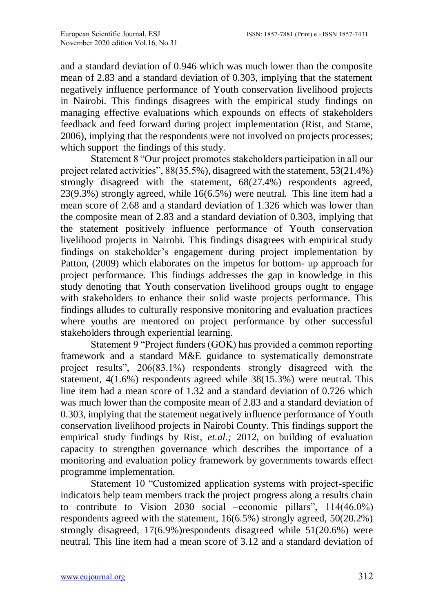and a standard deviation of 0.946 which was much lower than the composite mean of 2.83 and a standard deviation of 0.303, implying that the statement negatively influence performance of Youth conservation livelihood projects in Nairobi. This findings disagrees with the empirical study findings on managing effective evaluations which expounds on effects of stakeholders feedback and feed forward during project implementation (Rist, and Stame, 2006), implying that the respondents were not involved on projects processes; which support the findings of this study.

Statement 8 "Our project promotes stakeholders participation in all our project related activities", 88(35.5%), disagreed with the statement, 53(21.4%) strongly disagreed with the statement, 68(27.4%) respondents agreed, 23(9.3%) strongly agreed, while 16(6.5%) were neutral. This line item had a mean score of 2.68 and a standard deviation of 1.326 which was lower than the composite mean of 2.83 and a standard deviation of 0.303, implying that the statement positively influence performance of Youth conservation livelihood projects in Nairobi. This findings disagrees with empirical study findings on stakeholder's engagement during project implementation by Patton, (2009) which elaborates on the impetus for bottom- up approach for project performance. This findings addresses the gap in knowledge in this study denoting that Youth conservation livelihood groups ought to engage with stakeholders to enhance their solid waste projects performance. This findings alludes to culturally responsive monitoring and evaluation practices where youths are mentored on project performance by other successful stakeholders through experiential learning.

Statement 9 "Project funders (GOK) has provided a common reporting framework and a standard M&E guidance to systematically demonstrate project results", 206(83.1%) respondents strongly disagreed with the statement, 4(1.6%) respondents agreed while 38(15.3%) were neutral. This line item had a mean score of 1.32 and a standard deviation of 0.726 which was much lower than the composite mean of 2.83 and a standard deviation of 0.303, implying that the statement negatively influence performance of Youth conservation livelihood projects in Nairobi County. This findings support the empirical study findings by Rist, *et.al.;* 2012, on building of evaluation capacity to strengthen governance which describes the importance of a monitoring and evaluation policy framework by governments towards effect programme implementation.

Statement 10 "Customized application systems with project-specific indicators help team members track the project progress along a results chain to contribute to Vision 2030 social –economic pillars", 114(46.0%) respondents agreed with the statement,  $16(6.5%)$  strongly agreed,  $50(20.2%)$ strongly disagreed, 17(6.9%)respondents disagreed while 51(20.6%) were neutral. This line item had a mean score of 3.12 and a standard deviation of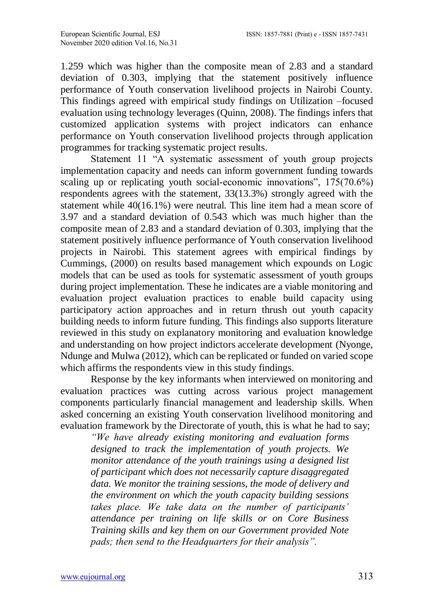1.259 which was higher than the composite mean of 2.83 and a standard deviation of 0.303, implying that the statement positively influence performance of Youth conservation livelihood projects in Nairobi County. This findings agreed with empirical study findings on Utilization –focused evaluation using technology leverages (Quinn, 2008). The findings infers that customized application systems with project indicators can enhance performance on Youth conservation livelihood projects through application programmes for tracking systematic project results.

Statement 11 "A systematic assessment of youth group projects implementation capacity and needs can inform government funding towards scaling up or replicating youth social-economic innovations", 175(70.6%) respondents agrees with the statement, 33(13.3%) strongly agreed with the statement while 40(16.1%) were neutral. This line item had a mean score of 3.97 and a standard deviation of 0.543 which was much higher than the composite mean of 2.83 and a standard deviation of 0.303, implying that the statement positively influence performance of Youth conservation livelihood projects in Nairobi. This statement agrees with empirical findings by Cummings, (2000) on results based management which expounds on Logic models that can be used as tools for systematic assessment of youth groups during project implementation. These he indicates are a viable monitoring and evaluation project evaluation practices to enable build capacity using participatory action approaches and in return thrush out youth capacity building needs to inform future funding. This findings also supports literature reviewed in this study on explanatory monitoring and evaluation knowledge and understanding on how project indictors accelerate development (Nyonge, Ndunge and Mulwa (2012), which can be replicated or funded on varied scope which affirms the respondents view in this study findings.

Response by the key informants when interviewed on monitoring and evaluation practices was cutting across various project management components particularly financial management and leadership skills. When asked concerning an existing Youth conservation livelihood monitoring and evaluation framework by the Directorate of youth, this is what he had to say;

*"We have already existing monitoring and evaluation forms designed to track the implementation of youth projects. We monitor attendance of the youth trainings using a designed list of participant which does not necessarily capture disaggregated data. We monitor the training sessions, the mode of delivery and the environment on which the youth capacity building sessions takes place. We take data on the number of participants' attendance per training on life skills or on Core Business Training skills and key them on our Government provided Note pads; then send to the Headquarters for their analysis".*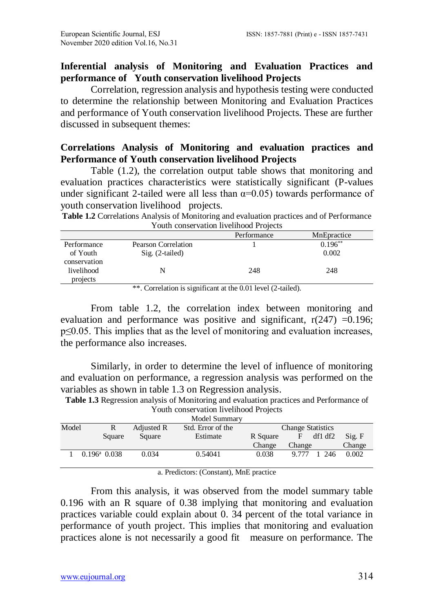## **Inferential analysis of Monitoring and Evaluation Practices and performance of Youth conservation livelihood Projects**

Correlation, regression analysis and hypothesis testing were conducted to determine the relationship between Monitoring and Evaluation Practices and performance of Youth conservation livelihood Projects. These are further discussed in subsequent themes:

## **Correlations Analysis of Monitoring and evaluation practices and Performance of Youth conservation livelihood Projects**

Table (1.2), the correlation output table shows that monitoring and evaluation practices characteristics were statistically significant (P-values under significant 2-tailed were all less than  $\alpha=0.05$ ) towards performance of youth conservation livelihood projects.

| <b>Table 1.2</b> Correlations Analysis of Monitoring and evaluation practices and of Performance |
|--------------------------------------------------------------------------------------------------|
| Youth conservation livelihood Projects                                                           |

|              |                     | Performance | MnEpractice |
|--------------|---------------------|-------------|-------------|
| Performance  | Pearson Correlation |             | $0.196***$  |
| of Youth     | $Sig. (2-tailed)$   |             | 0.002       |
| conservation |                     |             |             |
| livelihood   | N                   | 248         | 248         |
| projects     |                     |             |             |

\*\*. Correlation is significant at the 0.01 level (2-tailed).

From table 1.2, the correlation index between monitoring and evaluation and performance was positive and significant,  $r(247) = 0.196$ ; p≤0.05. This implies that as the level of monitoring and evaluation increases, the performance also increases.

Similarly, in order to determine the level of influence of monitoring and evaluation on performance, a regression analysis was performed on the variables as shown in table 1.3 on Regression analysis.

|       | Youth conservation livelihood Projects |            |                   |          |             |                          |        |
|-------|----------------------------------------|------------|-------------------|----------|-------------|--------------------------|--------|
|       | Model Summary                          |            |                   |          |             |                          |        |
| Model | R                                      | Adjusted R | Std. Error of the |          |             | <b>Change Statistics</b> |        |
|       | Square                                 | Square     | Estimate          | R Square | $F_{\perp}$ | df1 df2                  | Sig. F |
|       |                                        |            |                   | Change   | Change      |                          | Change |
|       | $0.196^{\mathrm{a}}$ 0.038             | 0.034      | 0.54041           | 0.038    | 9.777       | 1, 246                   | 0.002  |

**Table 1.3** Regression analysis of Monitoring and evaluation practices and Performance of Youth conservation livelihood Projects

a. Predictors: (Constant), MnE practice

From this analysis, it was observed from the model summary table 0.196 with an R square of 0.38 implying that monitoring and evaluation practices variable could explain about 0. 34 percent of the total variance in performance of youth project. This implies that monitoring and evaluation practices alone is not necessarily a good fit measure on performance. The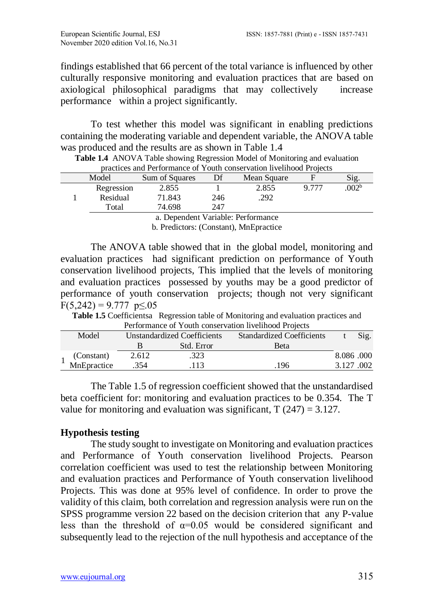findings established that 66 percent of the total variance is influenced by other culturally responsive monitoring and evaluation practices that are based on axiological philosophical paradigms that may collectively increase performance within a project significantly.

To test whether this model was significant in enabling predictions containing the moderating variable and dependent variable, the ANOVA table was produced and the results are as shown in Table 1.4

|                                    | practices and reflormance of Touth conservation hyemrode ribjects                                                                                                                                                                                                                                                                                       |                |     |             |       |                   |  |  |  |
|------------------------------------|---------------------------------------------------------------------------------------------------------------------------------------------------------------------------------------------------------------------------------------------------------------------------------------------------------------------------------------------------------|----------------|-----|-------------|-------|-------------------|--|--|--|
|                                    | Model                                                                                                                                                                                                                                                                                                                                                   | Sum of Squares | Df  | Mean Square |       | Sig.              |  |  |  |
|                                    | Regression                                                                                                                                                                                                                                                                                                                                              | 2.855          |     | 2.855       | 9.777 | .002 <sup>b</sup> |  |  |  |
|                                    | Residual                                                                                                                                                                                                                                                                                                                                                | 71.843         | 246 | .292        |       |                   |  |  |  |
|                                    | Total                                                                                                                                                                                                                                                                                                                                                   | 74.698         | 247 |             |       |                   |  |  |  |
| a. Dependent Variable: Performance |                                                                                                                                                                                                                                                                                                                                                         |                |     |             |       |                   |  |  |  |
|                                    | $\mathbf{1}$ <b>n</b> $\mathbf{1}'$ $\mathbf{1}'$ $\mathbf{1}'$ $\mathbf{1}'$ $\mathbf{1}'$ $\mathbf{1}'$ $\mathbf{1}'$ $\mathbf{1}'$ $\mathbf{1}'$ $\mathbf{1}'$ $\mathbf{1}'$ $\mathbf{1}'$ $\mathbf{1}'$ $\mathbf{1}'$ $\mathbf{1}'$ $\mathbf{1}'$ $\mathbf{1}'$ $\mathbf{1}'$ $\mathbf{1}'$ $\mathbf{1}'$ $\mathbf{1}'$ $\mathbf{1}'$ $\mathbf{1}'$ |                |     |             |       |                   |  |  |  |

**Table 1.4** ANOVA Table showing Regression Model of Monitoring and evaluation practices and Performance of Youth conservation livelihood Projects

b. Predictors: (Constant), MnEpractice

The ANOVA table showed that in the global model, monitoring and evaluation practices had significant prediction on performance of Youth conservation livelihood projects, This implied that the levels of monitoring and evaluation practices possessed by youths may be a good predictor of performance of youth conservation projects; though not very significant  $F(5,242) = 9.777 \text{ p} \leq 0.05$ 

**Table 1.5** Coefficientsa Regression table of Monitoring and evaluation practices and Performance of Youth conservation livelihood Projects

| I criticalize of Tourn conservation inventious Frojects |                           |                             |            |                                  |           |      |  |  |
|---------------------------------------------------------|---------------------------|-----------------------------|------------|----------------------------------|-----------|------|--|--|
|                                                         | Model                     | Unstandardized Coefficients |            | <b>Standardized Coefficients</b> |           | Sig. |  |  |
|                                                         |                           |                             | Std. Error | <b>Beta</b>                      |           |      |  |  |
|                                                         |                           | 2.612                       | .323       |                                  | 8.086.000 |      |  |  |
|                                                         | (Constant)<br>MnEpractice | 354                         | 113        | .196                             | 3.127.002 |      |  |  |

The Table 1.5 of regression coefficient showed that the unstandardised beta coefficient for: monitoring and evaluation practices to be 0.354. The T value for monitoring and evaluation was significant,  $T(247) = 3.127$ .

# **Hypothesis testing**

The study sought to investigate on Monitoring and evaluation practices and Performance of Youth conservation livelihood Projects. Pearson correlation coefficient was used to test the relationship between Monitoring and evaluation practices and Performance of Youth conservation livelihood Projects. This was done at 95% level of confidence. In order to prove the validity of this claim, both correlation and regression analysis were run on the SPSS programme version 22 based on the decision criterion that any P-value less than the threshold of  $\alpha=0.05$  would be considered significant and subsequently lead to the rejection of the null hypothesis and acceptance of the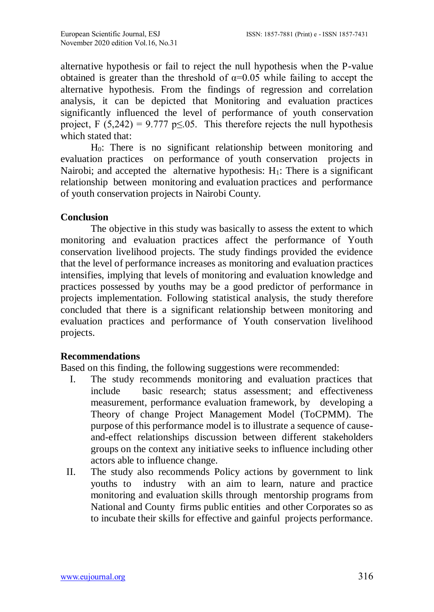alternative hypothesis or fail to reject the null hypothesis when the P-value obtained is greater than the threshold of  $\alpha$ =0.05 while failing to accept the alternative hypothesis. From the findings of regression and correlation analysis, it can be depicted that Monitoring and evaluation practices significantly influenced the level of performance of youth conservation project, F (5,242) = 9.777 p $\leq$ .05. This therefore rejects the null hypothesis which stated that:

H0: There is no significant relationship between monitoring and evaluation practices on performance of youth conservation projects in Nairobi; and accepted the alternative hypothesis:  $H_1$ : There is a significant relationship between monitoring and evaluation practices and performance of youth conservation projects in Nairobi County.

## **Conclusion**

The objective in this study was basically to assess the extent to which monitoring and evaluation practices affect the performance of Youth conservation livelihood projects. The study findings provided the evidence that the level of performance increases as monitoring and evaluation practices intensifies, implying that levels of monitoring and evaluation knowledge and practices possessed by youths may be a good predictor of performance in projects implementation. Following statistical analysis, the study therefore concluded that there is a significant relationship between monitoring and evaluation practices and performance of Youth conservation livelihood projects.

## **Recommendations**

Based on this finding, the following suggestions were recommended:

- I. The study recommends monitoring and evaluation practices that include basic research; status assessment; and effectiveness measurement, performance evaluation framework, by developing a Theory of change Project Management Model (ToCPMM). The purpose of this performance model is to illustrate a sequence of causeand-effect relationships discussion between different stakeholders groups on the context any initiative seeks to influence including other actors able to influence change.
- II. The study also recommends Policy actions by government to link youths to industry with an aim to learn, nature and practice monitoring and evaluation skills through mentorship programs from National and County firms public entities and other Corporates so as to incubate their skills for effective and gainful projects performance.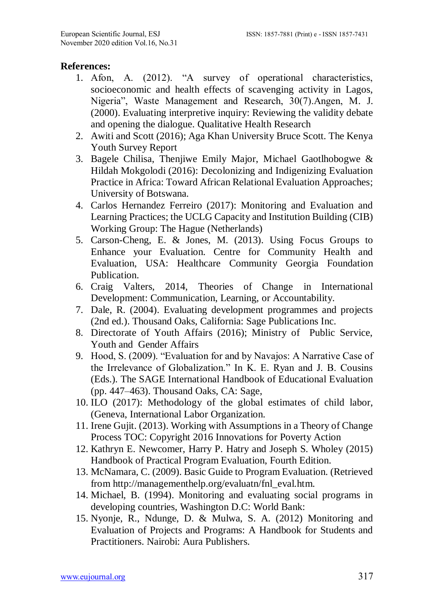#### **References:**

- 1. Afon, A. (2012). "A survey of operational characteristics, socioeconomic and health effects of scavenging activity in Lagos, Nigeria", Waste Management and Research, 30(7).Angen, M. J. (2000). Evaluating interpretive inquiry: Reviewing the validity debate and opening the dialogue. Qualitative Health Research
- 2. Awiti and Scott (2016); Aga Khan University Bruce Scott. The Kenya Youth Survey Report
- 3. Bagele Chilisa, Thenjiwe Emily Major, Michael Gaotlhobogwe & Hildah Mokgolodi (2016): Decolonizing and Indigenizing Evaluation Practice in Africa: Toward African Relational Evaluation Approaches; University of Botswana.
- 4. Carlos Hernandez Ferreiro (2017): Monitoring and Evaluation and Learning Practices; the UCLG Capacity and Institution Building (CIB) Working Group: The Hague (Netherlands)
- 5. Carson-Cheng, E. & Jones, M. (2013). Using Focus Groups to Enhance your Evaluation. Centre for Community Health and Evaluation, USA: Healthcare Community Georgia Foundation Publication.
- 6. Craig Valters, 2014, Theories of Change in International Development: Communication, Learning, or Accountability.
- 7. Dale, R. (2004). Evaluating development programmes and projects (2nd ed.). Thousand Oaks, California: Sage Publications Inc.
- 8. Directorate of Youth Affairs (2016); Ministry of Public Service, Youth and Gender Affairs
- 9. Hood, S. (2009). "Evaluation for and by Navajos: A Narrative Case of the Irrelevance of Globalization." In K. E. Ryan and J. B. Cousins (Eds.). The SAGE International Handbook of Educational Evaluation (pp. 447–463). Thousand Oaks, CA: Sage,
- 10. ILO (2017): Methodology of the global estimates of child labor, (Geneva, International Labor Organization.
- 11. Irene Gujit. (2013). Working with Assumptions in a Theory of Change Process TOC: Copyright 2016 Innovations for Poverty Action
- 12. Kathryn E. Newcomer, Harry P. Hatry and Joseph S. Wholey (2015) Handbook of Practical Program Evaluation, Fourth Edition.
- 13. McNamara, C. (2009). Basic Guide to Program Evaluation. (Retrieved from http://managementhelp.org/evaluatn/fnl\_eval.htm.
- 14. Michael, B. (1994). Monitoring and evaluating social programs in developing countries, Washington D.C: World Bank:
- 15. Nyonje, R., Ndunge, D. & Mulwa, S. A. (2012) Monitoring and Evaluation of Projects and Programs: A Handbook for Students and Practitioners. Nairobi: Aura Publishers.